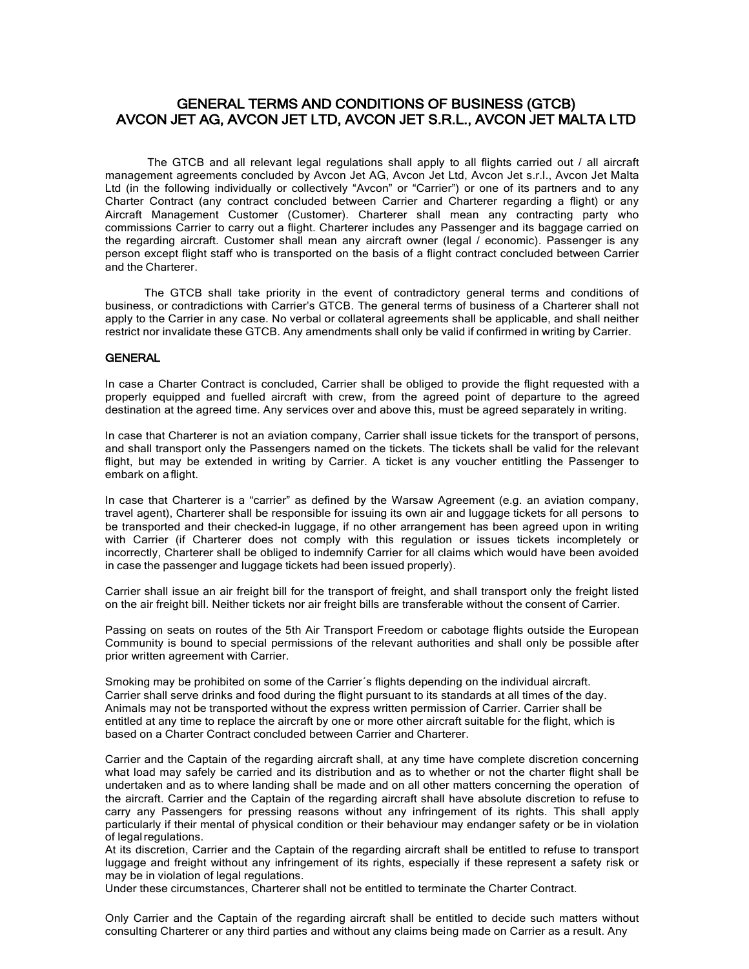# GENERAL TERMS AND CONDITIONS OF BUSINESS (GTCB) AVCON JET AG, AVCON JET LTD, AVCON JET S.R.L., AVCON JET MALTA LTD

 The GTCB and all relevant legal regulations shall apply to all flights carried out / all aircraft management agreements concluded by Avcon Jet AG, Avcon Jet Ltd, Avcon Jet s.r.l., Avcon Jet Malta Ltd (in the following individually or collectively "Avcon" or "Carrier") or one of its partners and to any Charter Contract (any contract concluded between Carrier and Charterer regarding a flight) or any Aircraft Management Customer (Customer). Charterer shall mean any contracting party who commissions Carrier to carry out a flight. Charterer includes any Passenger and its baggage carried on the regarding aircraft. Customer shall mean any aircraft owner (legal / economic). Passenger is any person except flight staff who is transported on the basis of a flight contract concluded between Carrier and the Charterer.

 The GTCB shall take priority in the event of contradictory general terms and conditions of business, or contradictions with Carrier's GTCB. The general terms of business of a Charterer shall not apply to the Carrier in any case. No verbal or collateral agreements shall be applicable, and shall neither restrict nor invalidate these GTCB. Any amendments shall only be valid if confirmed in writing by Carrier.

#### **GENERAL**

In case a Charter Contract is concluded, Carrier shall be obliged to provide the flight requested with a properly equipped and fuelled aircraft with crew, from the agreed point of departure to the agreed destination at the agreed time. Any services over and above this, must be agreed separately in writing.

In case that Charterer is not an aviation company, Carrier shall issue tickets for the transport of persons, and shall transport only the Passengers named on the tickets. The tickets shall be valid for the relevant flight, but may be extended in writing by Carrier. A ticket is any voucher entitling the Passenger to embark on a flight.

In case that Charterer is a "carrier" as defined by the Warsaw Agreement (e.g. an aviation company, travel agent), Charterer shall be responsible for issuing its own air and luggage tickets for all persons to be transported and their checked-in luggage, if no other arrangement has been agreed upon in writing with Carrier (if Charterer does not comply with this regulation or issues tickets incompletely or incorrectly, Charterer shall be obliged to indemnify Carrier for all claims which would have been avoided in case the passenger and luggage tickets had been issued properly).

Carrier shall issue an air freight bill for the transport of freight, and shall transport only the freight listed on the air freight bill. Neither tickets nor air freight bills are transferable without the consent of Carrier.

Passing on seats on routes of the 5th Air Transport Freedom or cabotage flights outside the European Community is bound to special permissions of the relevant authorities and shall only be possible after prior written agreement with Carrier.

Smoking may be prohibited on some of the Carrier´s flights depending on the individual aircraft. Carrier shall serve drinks and food during the flight pursuant to its standards at all times of the day. Animals may not be transported without the express written permission of Carrier. Carrier shall be entitled at any time to replace the aircraft by one or more other aircraft suitable for the flight, which is based on a Charter Contract concluded between Carrier and Charterer.

Carrier and the Captain of the regarding aircraft shall, at any time have complete discretion concerning what load may safely be carried and its distribution and as to whether or not the charter flight shall be undertaken and as to where landing shall be made and on all other matters concerning the operation of the aircraft. Carrier and the Captain of the regarding aircraft shall have absolute discretion to refuse to carry any Passengers for pressing reasons without any infringement of its rights. This shall apply particularly if their mental of physical condition or their behaviour may endanger safety or be in violation of legal regulations.

At its discretion, Carrier and the Captain of the regarding aircraft shall be entitled to refuse to transport luggage and freight without any infringement of its rights, especially if these represent a safety risk or may be in violation of legal regulations.

Under these circumstances, Charterer shall not be entitled to terminate the Charter Contract.

Only Carrier and the Captain of the regarding aircraft shall be entitled to decide such matters without consulting Charterer or any third parties and without any claims being made on Carrier as a result. Any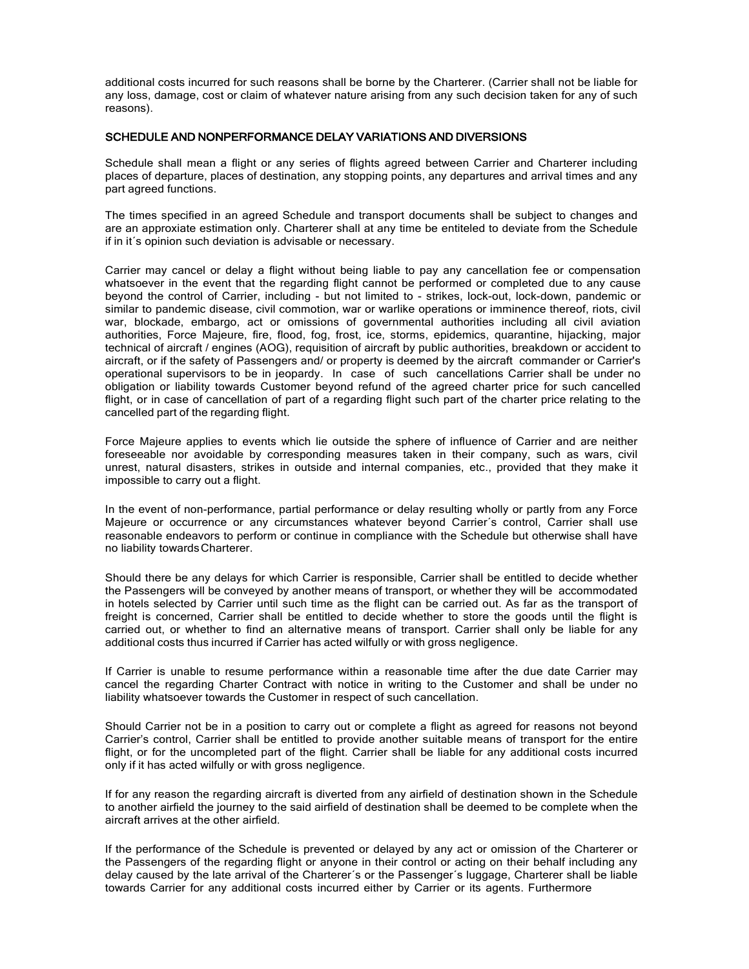additional costs incurred for such reasons shall be borne by the Charterer. (Carrier shall not be liable for any loss, damage, cost or claim of whatever nature arising from any such decision taken for any of such reasons).

# SCHEDULE AND NONPERFORMANCE DELAY VARIATIONS AND DIVERSIONS

Schedule shall mean a flight or any series of flights agreed between Carrier and Charterer including places of departure, places of destination, any stopping points, any departures and arrival times and any part agreed functions.

The times specified in an agreed Schedule and transport documents shall be subject to changes and are an approxiate estimation only. Charterer shall at any time be entiteled to deviate from the Schedule if in it´s opinion such deviation is advisable or necessary.

Carrier may cancel or delay a flight without being liable to pay any cancellation fee or compensation whatsoever in the event that the regarding flight cannot be performed or completed due to any cause beyond the control of Carrier, including - but not limited to - strikes, lock-out, lock-down, pandemic or similar to pandemic disease, civil commotion, war or warlike operations or imminence thereof, riots, civil war, blockade, embargo, act or omissions of governmental authorities including all civil aviation authorities, Force Majeure, fire, flood, fog, frost, ice, storms, epidemics, quarantine, hijacking, major technical of aircraft / engines (AOG), requisition of aircraft by public authorities, breakdown or accident to aircraft, or if the safety of Passengers and/ or property is deemed by the aircraft commander or Carrier's operational supervisors to be in jeopardy. In case of such cancellations Carrier shall be under no obligation or liability towards Customer beyond refund of the agreed charter price for such cancelled flight, or in case of cancellation of part of a regarding flight such part of the charter price relating to the cancelled part of the regarding flight.

Force Majeure applies to events which lie outside the sphere of influence of Carrier and are neither foreseeable nor avoidable by corresponding measures taken in their company, such as wars, civil unrest, natural disasters, strikes in outside and internal companies, etc., provided that they make it impossible to carry out a flight.

In the event of non-performance, partial performance or delay resulting wholly or partly from any Force Majeure or occurrence or any circumstances whatever beyond Carrier´s control, Carrier shall use reasonable endeavors to perform or continue in compliance with the Schedule but otherwise shall have no liability towardsCharterer.

Should there be any delays for which Carrier is responsible, Carrier shall be entitled to decide whether the Passengers will be conveyed by another means of transport, or whether they will be accommodated in hotels selected by Carrier until such time as the flight can be carried out. As far as the transport of freight is concerned, Carrier shall be entitled to decide whether to store the goods until the flight is carried out, or whether to find an alternative means of transport. Carrier shall only be liable for any additional costs thus incurred if Carrier has acted wilfully or with gross negligence.

If Carrier is unable to resume performance within a reasonable time after the due date Carrier may cancel the regarding Charter Contract with notice in writing to the Customer and shall be under no liability whatsoever towards the Customer in respect of such cancellation.

Should Carrier not be in a position to carry out or complete a flight as agreed for reasons not beyond Carrier's control, Carrier shall be entitled to provide another suitable means of transport for the entire flight, or for the uncompleted part of the flight. Carrier shall be liable for any additional costs incurred only if it has acted wilfully or with gross negligence.

If for any reason the regarding aircraft is diverted from any airfield of destination shown in the Schedule to another airfield the journey to the said airfield of destination shall be deemed to be complete when the aircraft arrives at the other airfield.

If the performance of the Schedule is prevented or delayed by any act or omission of the Charterer or the Passengers of the regarding flight or anyone in their control or acting on their behalf including any delay caused by the late arrival of the Charterer´s or the Passenger´s luggage, Charterer shall be liable towards Carrier for any additional costs incurred either by Carrier or its agents. Furthermore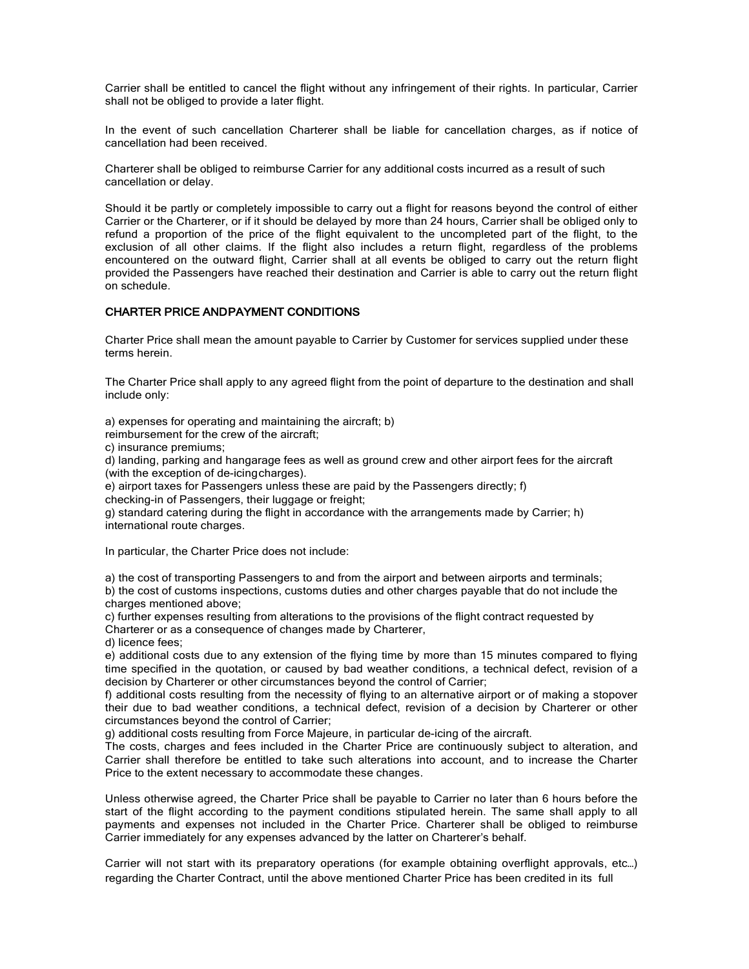Carrier shall be entitled to cancel the flight without any infringement of their rights. In particular, Carrier shall not be obliged to provide a later flight.

In the event of such cancellation Charterer shall be liable for cancellation charges, as if notice of cancellation had been received.

Charterer shall be obliged to reimburse Carrier for any additional costs incurred as a result of such cancellation or delay.

Should it be partly or completely impossible to carry out a flight for reasons beyond the control of either Carrier or the Charterer, or if it should be delayed by more than 24 hours, Carrier shall be obliged only to refund a proportion of the price of the flight equivalent to the uncompleted part of the flight, to the exclusion of all other claims. If the flight also includes a return flight, regardless of the problems encountered on the outward flight, Carrier shall at all events be obliged to carry out the return flight provided the Passengers have reached their destination and Carrier is able to carry out the return flight on schedule.

# CHARTER PRICE AND PAYMENT CONDITIONS

Charter Price shall mean the amount payable to Carrier by Customer for services supplied under these terms herein.

The Charter Price shall apply to any agreed flight from the point of departure to the destination and shall include only:

a) expenses for operating and maintaining the aircraft; b)

reimbursement for the crew of the aircraft;

c) insurance premiums;

d) landing, parking and hangarage fees as well as ground crew and other airport fees for the aircraft (with the exception of de-icingcharges).

e) airport taxes for Passengers unless these are paid by the Passengers directly; f) checking-in of Passengers, their luggage or freight;

g) standard catering during the flight in accordance with the arrangements made by Carrier; h) international route charges.

In particular, the Charter Price does not include:

a) the cost of transporting Passengers to and from the airport and between airports and terminals;

b) the cost of customs inspections, customs duties and other charges payable that do not include the charges mentioned above;

c) further expenses resulting from alterations to the provisions of the flight contract requested by Charterer or as a consequence of changes made by Charterer,

d) licence fees;

e) additional costs due to any extension of the flying time by more than 15 minutes compared to flying time specified in the quotation, or caused by bad weather conditions, a technical defect, revision of a decision by Charterer or other circumstances beyond the control of Carrier;

f) additional costs resulting from the necessity of flying to an alternative airport or of making a stopover their due to bad weather conditions, a technical defect, revision of a decision by Charterer or other circumstances beyond the control of Carrier;

g) additional costs resulting from Force Majeure, in particular de-icing of the aircraft.

The costs, charges and fees included in the Charter Price are continuously subject to alteration, and Carrier shall therefore be entitled to take such alterations into account, and to increase the Charter Price to the extent necessary to accommodate these changes.

Unless otherwise agreed, the Charter Price shall be payable to Carrier no later than 6 hours before the start of the flight according to the payment conditions stipulated herein. The same shall apply to all payments and expenses not included in the Charter Price. Charterer shall be obliged to reimburse Carrier immediately for any expenses advanced by the latter on Charterer's behalf.

Carrier will not start with its preparatory operations (for example obtaining overflight approvals, etc…) regarding the Charter Contract, until the above mentioned Charter Price has been credited in its full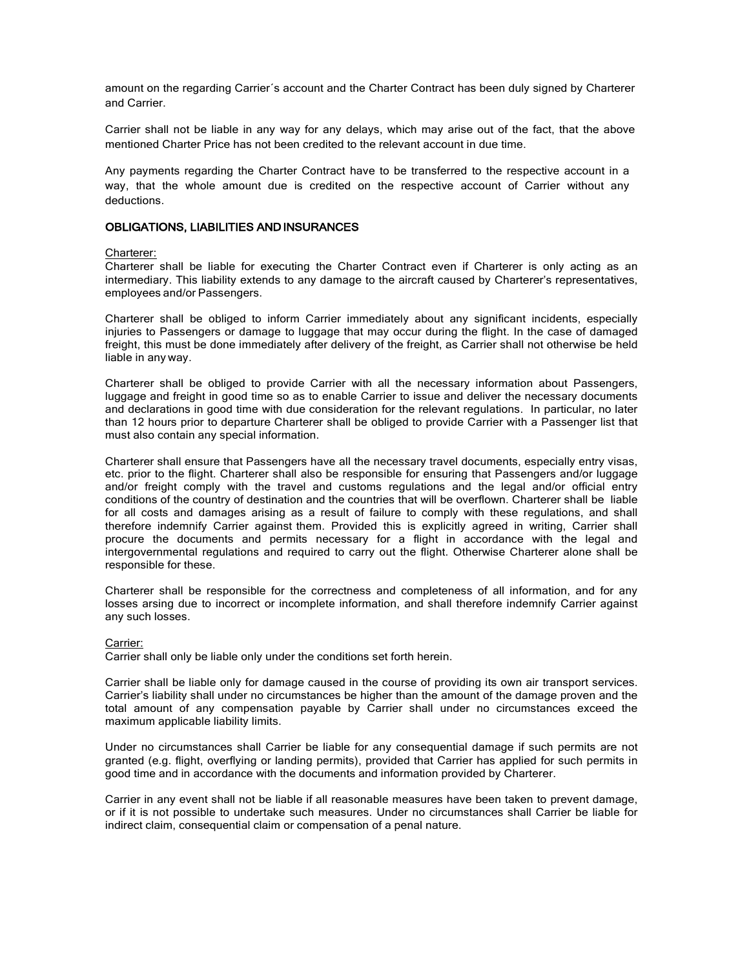amount on the regarding Carrier´s account and the Charter Contract has been duly signed by Charterer and Carrier.

Carrier shall not be liable in any way for any delays, which may arise out of the fact, that the above mentioned Charter Price has not been credited to the relevant account in due time.

Any payments regarding the Charter Contract have to be transferred to the respective account in a way, that the whole amount due is credited on the respective account of Carrier without any deductions.

# OBLIGATIONS, LIABILITIES AND INSURANCES

#### Charterer:

Charterer shall be liable for executing the Charter Contract even if Charterer is only acting as an intermediary. This liability extends to any damage to the aircraft caused by Charterer's representatives, employees and/or Passengers.

Charterer shall be obliged to inform Carrier immediately about any significant incidents, especially injuries to Passengers or damage to luggage that may occur during the flight. In the case of damaged freight, this must be done immediately after delivery of the freight, as Carrier shall not otherwise be held liable in any way.

Charterer shall be obliged to provide Carrier with all the necessary information about Passengers, luggage and freight in good time so as to enable Carrier to issue and deliver the necessary documents and declarations in good time with due consideration for the relevant regulations. In particular, no later than 12 hours prior to departure Charterer shall be obliged to provide Carrier with a Passenger list that must also contain any special information.

Charterer shall ensure that Passengers have all the necessary travel documents, especially entry visas, etc. prior to the flight. Charterer shall also be responsible for ensuring that Passengers and/or luggage and/or freight comply with the travel and customs regulations and the legal and/or official entry conditions of the country of destination and the countries that will be overflown. Charterer shall be liable for all costs and damages arising as a result of failure to comply with these regulations, and shall therefore indemnify Carrier against them. Provided this is explicitly agreed in writing, Carrier shall procure the documents and permits necessary for a flight in accordance with the legal and intergovernmental regulations and required to carry out the flight. Otherwise Charterer alone shall be responsible for these.

Charterer shall be responsible for the correctness and completeness of all information, and for any losses arsing due to incorrect or incomplete information, and shall therefore indemnify Carrier against any such losses.

### Carrier:

Carrier shall only be liable only under the conditions set forth herein.

Carrier shall be liable only for damage caused in the course of providing its own air transport services. Carrier's liability shall under no circumstances be higher than the amount of the damage proven and the total amount of any compensation payable by Carrier shall under no circumstances exceed the maximum applicable liability limits.

Under no circumstances shall Carrier be liable for any consequential damage if such permits are not granted (e.g. flight, overflying or landing permits), provided that Carrier has applied for such permits in good time and in accordance with the documents and information provided by Charterer.

Carrier in any event shall not be liable if all reasonable measures have been taken to prevent damage, or if it is not possible to undertake such measures. Under no circumstances shall Carrier be liable for indirect claim, consequential claim or compensation of a penal nature.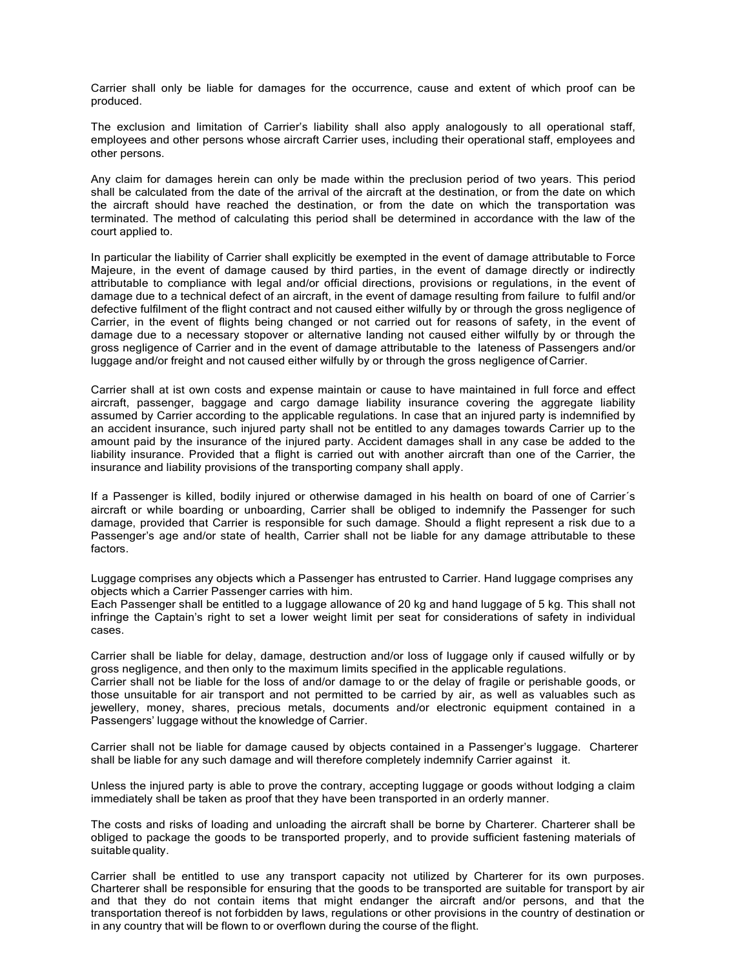Carrier shall only be liable for damages for the occurrence, cause and extent of which proof can be produced.

The exclusion and limitation of Carrier's liability shall also apply analogously to all operational staff, employees and other persons whose aircraft Carrier uses, including their operational staff, employees and other persons.

Any claim for damages herein can only be made within the preclusion period of two years. This period shall be calculated from the date of the arrival of the aircraft at the destination, or from the date on which the aircraft should have reached the destination, or from the date on which the transportation was terminated. The method of calculating this period shall be determined in accordance with the law of the court applied to.

In particular the liability of Carrier shall explicitly be exempted in the event of damage attributable to Force Majeure, in the event of damage caused by third parties, in the event of damage directly or indirectly attributable to compliance with legal and/or official directions, provisions or regulations, in the event of damage due to a technical defect of an aircraft, in the event of damage resulting from failure to fulfil and/or defective fulfilment of the flight contract and not caused either wilfully by or through the gross negligence of Carrier, in the event of flights being changed or not carried out for reasons of safety, in the event of damage due to a necessary stopover or alternative landing not caused either wilfully by or through the gross negligence of Carrier and in the event of damage attributable to the lateness of Passengers and/or luggage and/or freight and not caused either wilfully by or through the gross negligence of Carrier.

Carrier shall at ist own costs and expense maintain or cause to have maintained in full force and effect aircraft, passenger, baggage and cargo damage liability insurance covering the aggregate liability assumed by Carrier according to the applicable regulations. In case that an injured party is indemnified by an accident insurance, such injured party shall not be entitled to any damages towards Carrier up to the amount paid by the insurance of the injured party. Accident damages shall in any case be added to the liability insurance. Provided that a flight is carried out with another aircraft than one of the Carrier, the insurance and liability provisions of the transporting company shall apply.

If a Passenger is killed, bodily injured or otherwise damaged in his health on board of one of Carrier´s aircraft or while boarding or unboarding, Carrier shall be obliged to indemnify the Passenger for such damage, provided that Carrier is responsible for such damage. Should a flight represent a risk due to a Passenger's age and/or state of health, Carrier shall not be liable for any damage attributable to these factors.

Luggage comprises any objects which a Passenger has entrusted to Carrier. Hand luggage comprises any objects which a Carrier Passenger carries with him.

Each Passenger shall be entitled to a luggage allowance of 20 kg and hand luggage of 5 kg. This shall not infringe the Captain's right to set a lower weight limit per seat for considerations of safety in individual cases.

Carrier shall be liable for delay, damage, destruction and/or loss of luggage only if caused wilfully or by gross negligence, and then only to the maximum limits specified in the applicable regulations.

Carrier shall not be liable for the loss of and/or damage to or the delay of fragile or perishable goods, or those unsuitable for air transport and not permitted to be carried by air, as well as valuables such as jewellery, money, shares, precious metals, documents and/or electronic equipment contained in a Passengers' luggage without the knowledge of Carrier.

Carrier shall not be liable for damage caused by objects contained in a Passenger's luggage. Charterer shall be liable for any such damage and will therefore completely indemnify Carrier against it.

Unless the injured party is able to prove the contrary, accepting luggage or goods without lodging a claim immediately shall be taken as proof that they have been transported in an orderly manner.

The costs and risks of loading and unloading the aircraft shall be borne by Charterer. Charterer shall be obliged to package the goods to be transported properly, and to provide sufficient fastening materials of suitable quality.

Carrier shall be entitled to use any transport capacity not utilized by Charterer for its own purposes. Charterer shall be responsible for ensuring that the goods to be transported are suitable for transport by air and that they do not contain items that might endanger the aircraft and/or persons, and that the transportation thereof is not forbidden by laws, regulations or other provisions in the country of destination or in any country that will be flown to or overflown during the course of the flight.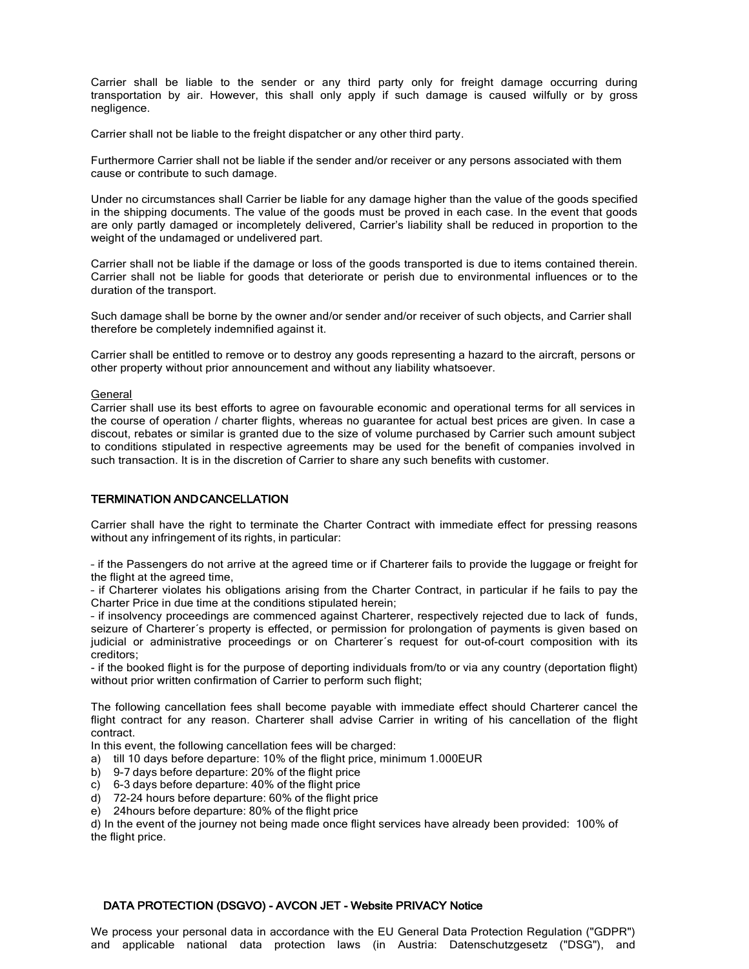Carrier shall be liable to the sender or any third party only for freight damage occurring during transportation by air. However, this shall only apply if such damage is caused wilfully or by gross negligence.

Carrier shall not be liable to the freight dispatcher or any other third party.

Furthermore Carrier shall not be liable if the sender and/or receiver or any persons associated with them cause or contribute to such damage.

Under no circumstances shall Carrier be liable for any damage higher than the value of the goods specified in the shipping documents. The value of the goods must be proved in each case. In the event that goods are only partly damaged or incompletely delivered, Carrier's liability shall be reduced in proportion to the weight of the undamaged or undelivered part.

Carrier shall not be liable if the damage or loss of the goods transported is due to items contained therein. Carrier shall not be liable for goods that deteriorate or perish due to environmental influences or to the duration of the transport.

Such damage shall be borne by the owner and/or sender and/or receiver of such objects, and Carrier shall therefore be completely indemnified against it.

Carrier shall be entitled to remove or to destroy any goods representing a hazard to the aircraft, persons or other property without prior announcement and without any liability whatsoever.

### General

Carrier shall use its best efforts to agree on favourable economic and operational terms for all services in the course of operation / charter flights, whereas no guarantee for actual best prices are given. In case a discout, rebates or similar is granted due to the size of volume purchased by Carrier such amount subject to conditions stipulated in respective agreements may be used for the benefit of companies involved in such transaction. It is in the discretion of Carrier to share any such benefits with customer.

### TERMINATION AND CANCELLATION

Carrier shall have the right to terminate the Charter Contract with immediate effect for pressing reasons without any infringement of its rights, in particular:

– if the Passengers do not arrive at the agreed time or if Charterer fails to provide the luggage or freight for the flight at the agreed time,

– if Charterer violates his obligations arising from the Charter Contract, in particular if he fails to pay the Charter Price in due time at the conditions stipulated herein;

– if insolvency proceedings are commenced against Charterer, respectively rejected due to lack of funds, seizure of Charterer's property is effected, or permission for prolongation of payments is given based on judicial or administrative proceedings or on Charterer´s request for out-of-court composition with its creditors;

- if the booked flight is for the purpose of deporting individuals from/to or via any country (deportation flight) without prior written confirmation of Carrier to perform such flight;

The following cancellation fees shall become payable with immediate effect should Charterer cancel the flight contract for any reason. Charterer shall advise Carrier in writing of his cancellation of the flight contract.

In this event, the following cancellation fees will be charged:

- a) till 10 days before departure: 10% of the flight price, minimum 1.000EUR
- b) 9-7 days before departure: 20% of the flight price
- c) 6-3 days before departure: 40% of the flight price
- d) 72-24 hours before departure: 60% of the flight price
- e) 24hours before departure: 80% of the flight price

d) In the event of the journey not being made once flight services have already been provided: 100% of the flight price.

### DATA PROTECTION (DSGVO) - AVCON JET - Website PRIVACY Notice

We process your personal data in accordance with the EU General Data Protection Regulation ("GDPR") and applicable national data protection laws (in Austria: Datenschutzgesetz ("DSG"), and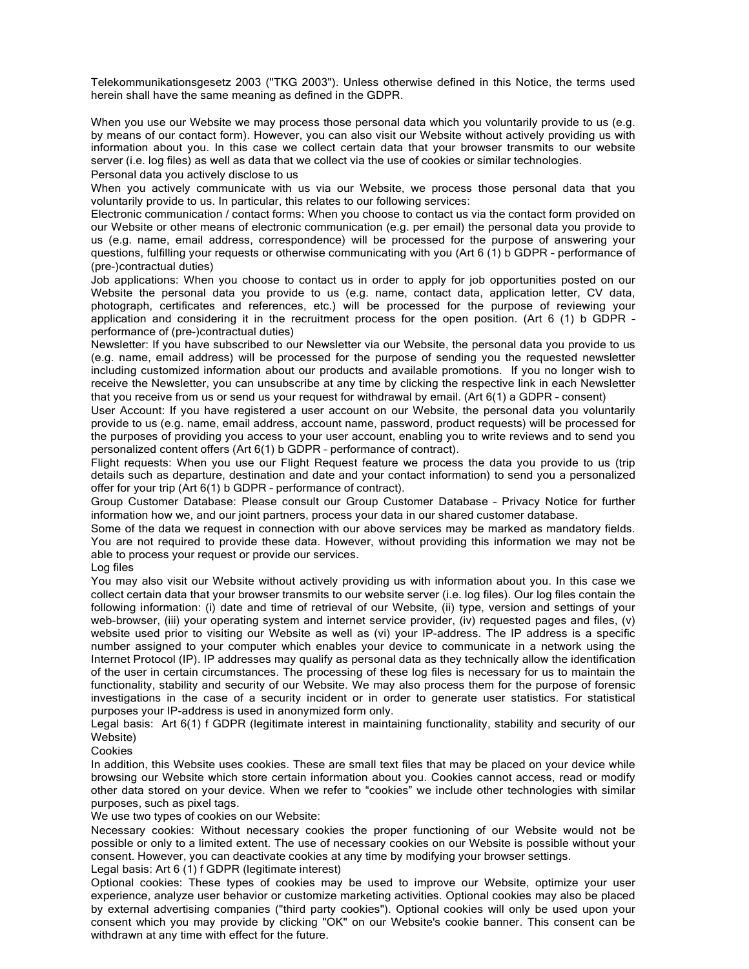Telekommunikationsgesetz 2003 ("TKG 2003"). Unless otherwise defined in this Notice, the terms used herein shall have the same meaning as defined in the GDPR.

When you use our Website we may process those personal data which you voluntarily provide to us (e.g. by means of our contact form). However, you can also visit our Website without actively providing us with information about you. In this case we collect certain data that your browser transmits to our website server (i.e. log files) as well as data that we collect via the use of cookies or similar technologies. Personal data you actively disclose to us

When you actively communicate with us via our Website, we process those personal data that you voluntarily provide to us. In particular, this relates to our following services:

Electronic communication / contact forms: When you choose to contact us via the contact form provided on our Website or other means of electronic communication (e.g. per email) the personal data you provide to us (e.g. name, email address, correspondence) will be processed for the purpose of answering your questions, fulfilling your requests or otherwise communicating with you (Art 6 (1) b GDPR – performance of (pre-)contractual duties)

Job applications: When you choose to contact us in order to apply for job opportunities posted on our Website the personal data you provide to us (e.g. name, contact data, application letter, CV data, photograph, certificates and references, etc.) will be processed for the purpose of reviewing your application and considering it in the recruitment process for the open position. (Art 6 (1) b GDPR – performance of (pre-)contractual duties)

Newsletter: If you have subscribed to our Newsletter via our Website, the personal data you provide to us (e.g. name, email address) will be processed for the purpose of sending you the requested newsletter including customized information about our products and available promotions. If you no longer wish to receive the Newsletter, you can unsubscribe at any time by clicking the respective link in each Newsletter that you receive from us or send us your request for withdrawal by email. (Art 6(1) a GDPR – consent)

User Account: If you have registered a user account on our Website, the personal data you voluntarily provide to us (e.g. name, email address, account name, password, product requests) will be processed for the purposes of providing you access to your user account, enabling you to write reviews and to send you personalized content offers (Art 6(1) b GDPR – performance of contract).

Flight requests: When you use our Flight Request feature we process the data you provide to us (trip details such as departure, destination and date and your contact information) to send you a personalized offer for your trip (Art 6(1) b GDPR – performance of contract).

Group Customer Database: Please consult our Group Customer Database – Privacy Notice for further information how we, and our joint partners, process your data in our shared customer database.

Some of the data we request in connection with our above services may be marked as mandatory fields. You are not required to provide these data. However, without providing this information we may not be able to process your request or provide our services.

#### Log files

You may also visit our Website without actively providing us with information about you. In this case we collect certain data that your browser transmits to our website server (i.e. log files). Our log files contain the following information: (i) date and time of retrieval of our Website, (ii) type, version and settings of your web-browser, (iii) your operating system and internet service provider, (iv) requested pages and files, (v) website used prior to visiting our Website as well as (vi) your IP-address. The IP address is a specific number assigned to your computer which enables your device to communicate in a network using the Internet Protocol (IP). IP addresses may qualify as personal data as they technically allow the identification of the user in certain circumstances. The processing of these log files is necessary for us to maintain the functionality, stability and security of our Website. We may also process them for the purpose of forensic investigations in the case of a security incident or in order to generate user statistics. For statistical purposes your IP-address is used in anonymized form only.

Legal basis: Art 6(1) f GDPR (legitimate interest in maintaining functionality, stability and security of our Website)

#### Cookies

In addition, this Website uses cookies. These are small text files that may be placed on your device while browsing our Website which store certain information about you. Cookies cannot access, read or modify other data stored on your device. When we refer to "cookies" we include other technologies with similar purposes, such as pixel tags.

We use two types of cookies on our Website:

Necessary cookies: Without necessary cookies the proper functioning of our Website would not be possible or only to a limited extent. The use of necessary cookies on our Website is possible without your consent. However, you can deactivate cookies at any time by modifying your browser settings.

### Legal basis: Art 6 (1) f GDPR (legitimate interest)

Optional cookies: These types of cookies may be used to improve our Website, optimize your user experience, analyze user behavior or customize marketing activities. Optional cookies may also be placed by external advertising companies ("third party cookies"). Optional cookies will only be used upon your consent which you may provide by clicking "OK" on our Website's cookie banner. This consent can be withdrawn at any time with effect for the future.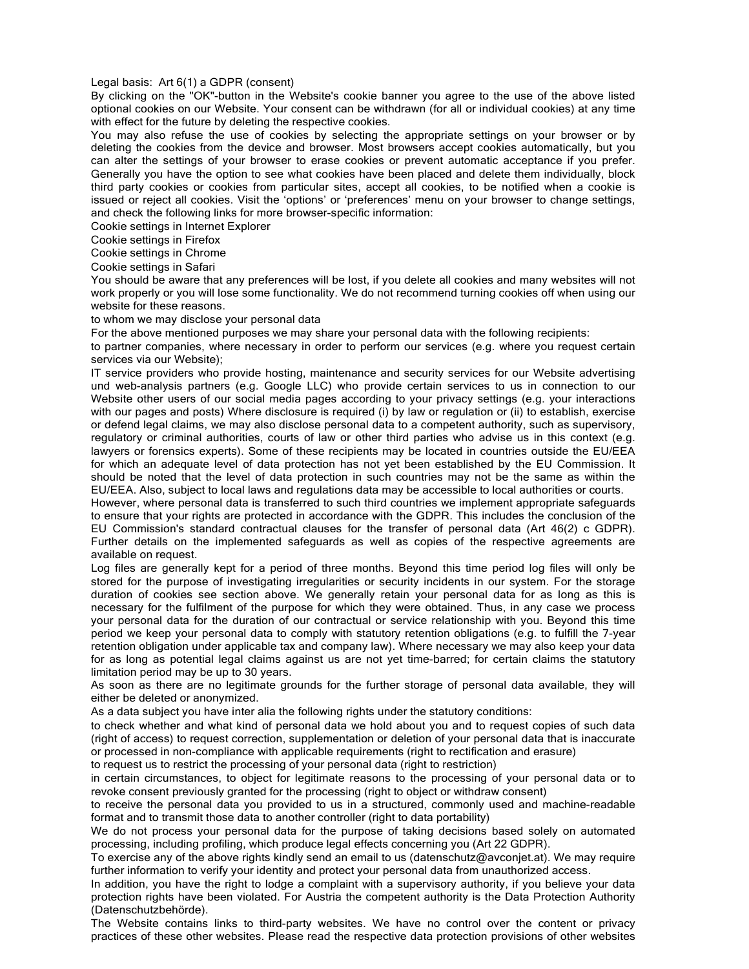#### Legal basis: Art 6(1) a GDPR (consent)

By clicking on the "OK"-button in the Website's cookie banner you agree to the use of the above listed optional cookies on our Website. Your consent can be withdrawn (for all or individual cookies) at any time with effect for the future by deleting the respective cookies.

You may also refuse the use of cookies by selecting the appropriate settings on your browser or by deleting the cookies from the device and browser. Most browsers accept cookies automatically, but you can alter the settings of your browser to erase cookies or prevent automatic acceptance if you prefer. Generally you have the option to see what cookies have been placed and delete them individually, block third party cookies or cookies from particular sites, accept all cookies, to be notified when a cookie is issued or reject all cookies. Visit the 'options' or 'preferences' menu on your browser to change settings, and check the following links for more browser-specific information:

[Cookie settings in Internet Explorer](https://support.microsoft.com/en-us/help/17442/windows-internet-explorer-delete-manage-cookies) 

[Cookie settings in Firefox](https://support.mozilla.org/en-US/kb/cookies-information-websites-store-on-your-computer?redirectlocale=en-US&redirectslug=Cookies)

[Cookie settings in Chrome](https://support.google.com/chrome/answer/95647?hl=en)

[Cookie settings in Safari](https://support.apple.com/?path=Safari/3.0/en/9277.html)

You should be aware that any preferences will be lost, if you delete all cookies and many websites will not work properly or you will lose some functionality. We do not recommend turning cookies off when using our website for these reasons.

to whom we may disclose your personal data

For the above mentioned purposes we may share your personal data with the following recipients:

to partner companies, where necessary in order to perform our services (e.g. where you request certain services via our Website);

IT service providers who provide hosting, maintenance and security services for our Website advertising und web-analysis partners (e.g. Google LLC) who provide certain services to us in connection to our Website other users of our social media pages according to your privacy settings (e.g. your interactions with our pages and posts) Where disclosure is required (i) by law or regulation or (ii) to establish, exercise or defend legal claims, we may also disclose personal data to a competent authority, such as supervisory, regulatory or criminal authorities, courts of law or other third parties who advise us in this context (e.g. lawyers or forensics experts). Some of these recipients may be located in countries outside the EU/EEA for which an adequate level of data protection has not yet been established by the EU Commission. It should be noted that the level of data protection in such countries may not be the same as within the EU/EEA. Also, subject to local laws and regulations data may be accessible to local authorities or courts.

However, where personal data is transferred to such third countries we implement appropriate safeguards to ensure that your rights are protected in accordance with the GDPR. This includes the conclusion of the EU Commission's standard contractual clauses for the transfer of personal data (Art 46(2) c GDPR). Further details on the implemented safeguards as well as copies of the respective agreements are available on request.

Log files are generally kept for a period of three months. Beyond this time period log files will only be stored for the purpose of investigating irregularities or security incidents in our system. For the storage duration of cookies see section above. We generally retain your personal data for as long as this is necessary for the fulfilment of the purpose for which they were obtained. Thus, in any case we process your personal data for the duration of our contractual or service relationship with you. Beyond this time period we keep your personal data to comply with statutory retention obligations (e.g. to fulfill the 7-year retention obligation under applicable tax and company law). Where necessary we may also keep your data for as long as potential legal claims against us are not yet time-barred; for certain claims the statutory limitation period may be up to 30 years.

As soon as there are no legitimate grounds for the further storage of personal data available, they will either be deleted or anonymized.

As a data subject you have inter alia the following rights under the statutory conditions:

to check whether and what kind of personal data we hold about you and to request copies of such data (right of access) to request correction, supplementation or deletion of your personal data that is inaccurate or processed in non-compliance with applicable requirements (right to rectification and erasure)

to request us to restrict the processing of your personal data (right to restriction)

in certain circumstances, to object for legitimate reasons to the processing of your personal data or to revoke consent previously granted for the processing (right to object or withdraw consent)

to receive the personal data you provided to us in a structured, commonly used and machine-readable format and to transmit those data to another controller (right to data portability)

We do not process your personal data for the purpose of taking decisions based solely on automated processing, including profiling, which produce legal effects concerning you (Art 22 GDPR).

To exercise any of the above rights kindly send an email to us (datenschutz@avconjet.at). We may require further information to verify your identity and protect your personal data from unauthorized access.

In addition, you have the right to lodge a complaint with a supervisory authority, if you believe your data protection rights have been violated. For Austria the competent authority is the Data Protection Authority (Datenschutzbehörde).

The Website contains links to third-party websites. We have no control over the content or privacy practices of these other websites. Please read the respective data protection provisions of other websites